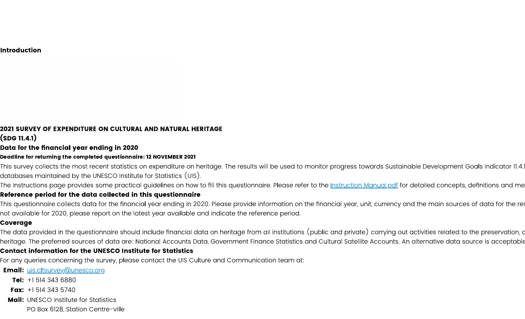#### **Introduction**

#### 2021 SURVEY OF EXPENDITURE ON CULTURAL AND NATURAL HERITAGE (SDG 11.4.1)

### Data for the financial year ending in 2020

#### Deadline for returning the completed questionnaire: 12 NOVEMBER 2021

This survey collects the most recent statistics on expenditure on heritage. The results will be used to monitor progress towards Sustainable Development Goals Indicator 11.4. databases maintained by the UNESCO Institute for Statistics (UIS).

The Instructions page provides some practical guidelines on how to fill this questionnaire. Please refer to the <u>Instruction Manual.pdf</u> for detailed concepts, definitions and me

#### Reference period for the data collected in this questionnaire

This questionnaire collects data for the financial year ending in 2020. Please provide information on the financial year, unit, currency and the main sources of data for the re: not available for 2020, please report on the latest year available and indicate the reference period.

#### Coverage

The data provided in the questionnaire should include financial data on heritage from all institutions (public and private) carrying out activities related to the preservation, c heritage. The preferred sources of data are: National Accounts Data, Government Finance Statistics and Cultural Satellite Accounts. An alternative data source is acceptable

#### **Contact information for the UNESCO Institute for Statistics**

For any queries concerning the survey, please contact the UIS Culture and Communication team at:

**Email:** uis.cltsurvey@unesco.org

Tel:  $+15143436880$ 

**Fax:**  $+15143435740$ 

**Mail:** UNESCO Institute for Statistics

PO Box 6128, Station Centre-ville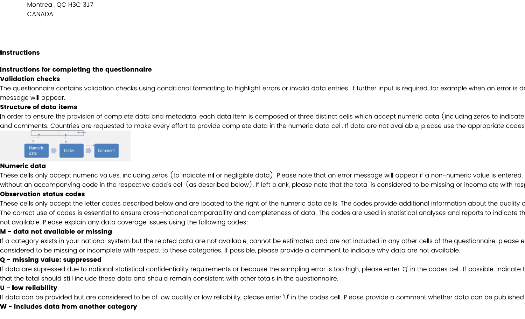Montreal, QC H3C 3J7 CANADA

## **Instructions**

# Instructions for completing the questionnaire

# **Validation checks**

The questionnaire contains validation checks using conditional formatting to highlight errors or invalid data entries. If further input is required, for example when an error is de message will appear.

## **Structure of data items**

In order to ensure the provision of complete data and metadata, each data item is composed of three distinct cells which accept numeric data (including zeros to indicate and comments. Countries are requested to make every effort to provide complete data in the numeric data cell. If data are not available, please use the appropriate codes



## Numeric data

These cells only accept numeric values, including zeros (to indicate nil or negligible data). Please note that an error message will appear if a non-numeric value is entered. without an accompanying code in the respective code's cell (as described below). If left blank, please note that the total is considered to be missing or incomplete with res

# **Observation status codes**

These cells only accept the letter codes described below and are located to the right of the numeric data cells. The codes provide additional information about the quality c The correct use of codes is essential to ensure cross-national comparability and completeness of data. The codes are used in statistical analyses and reports to indicate th not available. Please explain any data coverage issues using the following codes:

# M - data not available or missing

If a category exists in your national system but the related data are not available, cannot be estimated and are not included in any other cells of the questionnaire, please e considered to be missing or incomplete with respect to these categories. If possible, please provide a comment to indicate why data are not available.

# Q - missing value: suppressed

If data are supressed due to national statistical confidentiality requirements or because the sampling error is too high, please enter 'Q' in the codes cell. If possible, indicate t that the total should still include these data and should remain consistent with other totals in the questionnaire.

# U - low reliability

If data can be provided but are considered to be of low quality or low reliability, please enter 'U' in the codes cell. Please provide a comment whether data can be published

## W - includes data from another category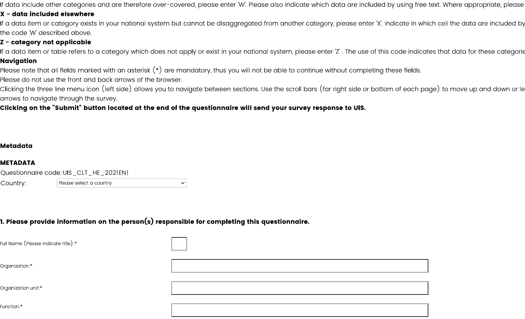If data include other categories and are therefore over-covered, please enter 'W'. Please also indicate which data are included by using free text. Where appropriate, please

#### X - data included elsewhere

If a data item or category exists in your national system but cannot be disaggregated from another category, please enter 'X'. Indicate in which cell the data are included by the code 'W' described above.

# Z - category not applicable

If a data item or table refers to a category which does not apply or exist in your national system, please enter 'Z' . The use of this code indicates that data for these categorie **Navigation** 

Please note that all fields marked with an asterisk  $(\ast)$  are mandatory, thus you will not be able to continue without completing these fields.

Please do not use the front and back arrows of the browser.

Clicking the three line menu icon (left side) allows you to navigate between sections. Use the scroll bars (far right side or bottom of each page) to move up and down or le arrows to navigate through the survey.

## Clicking on the "Submit" button located at the end of the questionnaire will send your survey response to UIS.

 $\checkmark$ 

## **Metadata**

#### **METADATA**

Questionnaire code: UIS\_CLT\_HE\_2021EN1

Country: Please select a country

## 1. Please provide information on the person $(\mathsf{s})$  responsible for completing this questionnaire.

Full Name (Please indicate title): $^\ast$ 

Organization:\*

Organization unit:\*

Function:\*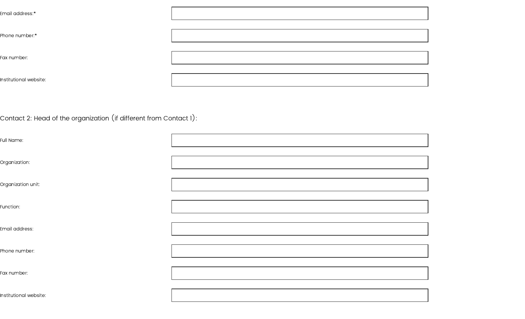| Email address:*        |  |
|------------------------|--|
|                        |  |
| Phone number:*         |  |
|                        |  |
| Fax number:            |  |
|                        |  |
| Institutional website: |  |
|                        |  |

Contact 2: Head of the organization (if different from Contact 1):  $\,$ 

| Full Name:             |  |
|------------------------|--|
| Organization:          |  |
| Organization unit:     |  |
| Function:              |  |
| Email address:         |  |
| Phone number:          |  |
| Fax number:            |  |
| Institutional website: |  |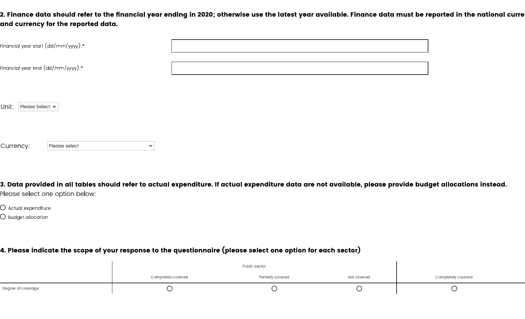2. Finance data should refer to the financial year ending in 2020; otherwise use the latest year available. Finance data must be reported in the national curre and currency for the reported data.

| Financial year start (dd/mm/yyyy):*                          |  |
|--------------------------------------------------------------|--|
| Financial year end $(\text{dd}/\text{mm}/\text{yyy})$ : $^*$ |  |
|                                                              |  |

Unit: | Please Select v

Currency: Please select  $\bar{\mathbf{v}}$ 

3. Data provided in all tables should refer to actual expenditure. If actual expenditure data are not available, please provide budget allocations instead. Please select one option below:

 $\bigcirc$  Actual expenditure

 $\bigcirc$  Budget allocation

# 4. Please indicate the scope of your response to the questionnaire (please select one option for each sector)

|                    | Completely covered | Partially covered | Not covered | Completely covered |
|--------------------|--------------------|-------------------|-------------|--------------------|
| Degree of coverage |                    |                   |             |                    |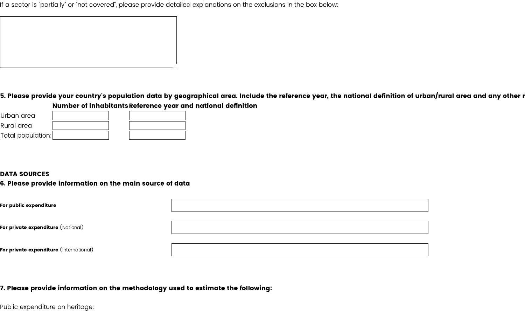If a sector is "partially" or "not covered", please provide detailed explanations on the exclusions in the box below:

5. Please provide your country's population data by geographical area. Include the reference year, the national definition of urban/rural area and any other r Number of inhabitants Reference year and national definition

| Urban area        |  |  |
|-------------------|--|--|
| Rural area        |  |  |
| Total population: |  |  |

#### **DATA SOURCES**

## 6. Please provide information on the main source of data

| For public expenditure                                |  |
|-------------------------------------------------------|--|
| F <b>or private expenditure</b> $(\mathsf{National})$ |  |
| F <b>or private expenditure</b> (International)       |  |

# 7. Please provide information on the methodology used to estimate the following:

Public expenditure on heritage: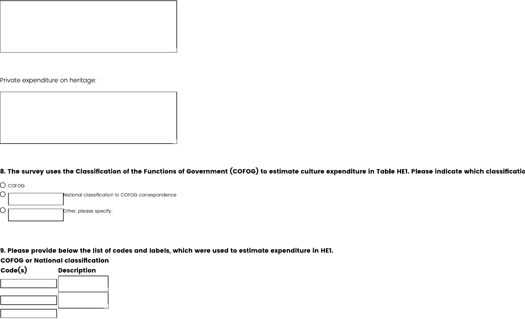

Private expenditure on heritage:



8. The survey uses the Classification of the Functions of Government (COFOG) to estimate culture expenditure in Table HE1. Please indicate which classificatic



9. Please provide below the list of codes and labels, which were used to estimate expenditure in HE1.

**COFOG or National classification** 

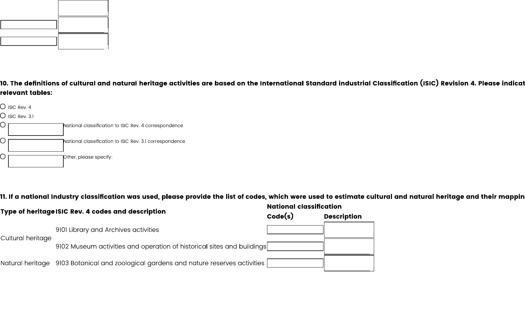

10. The definitions of cultural and natural heritage activities are based on the International Standard industrial Classification (ISIC) Revision 4. Please indicat relevant tables:



11. If a national Industry classification was used, please provide the list of codes, which were used to estimate cultural and natural heritage and their mappin

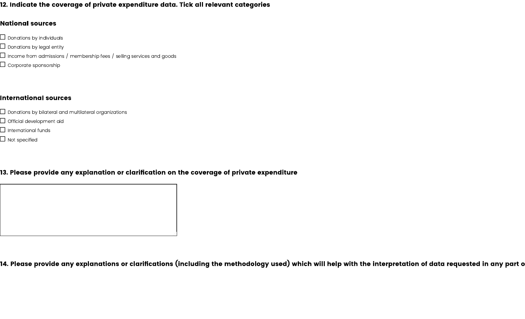## 12. Indicate the coverage of private expenditure data. Tick all relevant categories

#### **National sources**

- $\Box$  Donations by individuals
- $\Box$  Donations by legal entity
- $\Box$  Income from admissions / membership fees / selling services and goods
- $\Box$  Corporate sponsorship

#### **International sources**

- $\Box$  Donations by bilateral and multilateral organizations
- $\Box$  Official development aid
- $\Box$  International funds
- $\Box$  Not specified

# 13. Please provide any explanation or clarification on the coverage of private expenditure

14. Please provide any explanations or clarifications (including the methodology used) which will help with the interpretation of data requested in any part o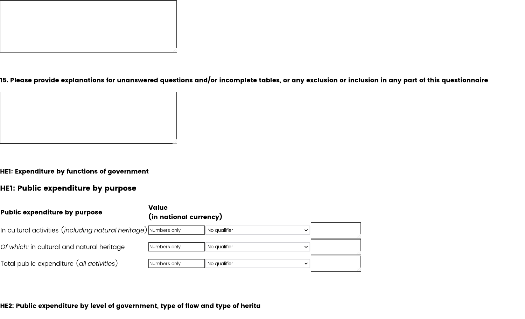

15. Please provide explanations for unanswered questions and/or incomplete tables, or any exclusion or inclusion in any part of this questionnaire



HE1: Expenditure by functions of government

# HE1: Public expenditure by purpose

| <b>Public expenditure by purpose</b>                                   | <b>Value</b><br>(in national currency) |                              |  |
|------------------------------------------------------------------------|----------------------------------------|------------------------------|--|
| In cultural activities $(including \ natural \ herimage)$ wumbers only |                                        | No qualifier<br>$\vee$       |  |
| Of which: in cultural and natural heritage                             | Numbers only                           | No qualifier<br>$\checkmark$ |  |
| Total public expenditure $(\emph{all activities})$                     | Numbers only                           | No qualifier<br>$\checkmark$ |  |

HE2: Public expenditure by level of government, type of flow and type of herita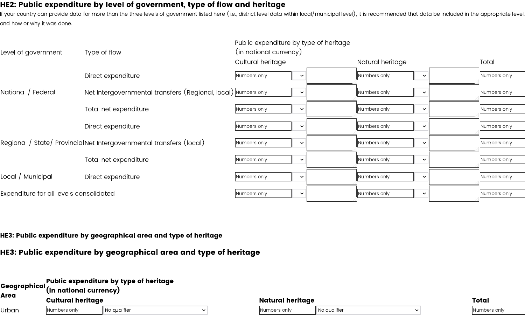# HE2: Public expenditure by level of government, type of flow and heritage

If your country can provide data for more than the three levels of government listed here (i.e., district level data within local/municipal level), it is recommended that data be included in the appropriate level. and how or why it was done.

| Level of government                     | Type of flow                                                        | Public expenditure by type of heritage<br>(in national currency) |              |                  |              |              |
|-----------------------------------------|---------------------------------------------------------------------|------------------------------------------------------------------|--------------|------------------|--------------|--------------|
|                                         |                                                                     | Cultural heritage                                                |              | Natural heritage |              | Total        |
|                                         | Direct expenditure                                                  | Numbers only                                                     | $\checkmark$ | Numbers only     | $\checkmark$ | Numbers only |
| National / Federal                      | Net Intergovernmental transfers (Regional, local) Numbers only      |                                                                  | $\checkmark$ | Numbers only     | $\checkmark$ | Numbers only |
|                                         | Total net expenditure                                               | Numbers only                                                     | $\checkmark$ | Numbers only     | $\checkmark$ | Numbers only |
|                                         | Direct expenditure                                                  | Numbers only                                                     | $\checkmark$ | Numbers only     | $\checkmark$ | Numbers only |
|                                         | Regional / State/ ProvincialNet Intergovernmental transfers (local) | Numbers only                                                     | $\checkmark$ | Numbers only     | $\checkmark$ | Numbers only |
|                                         | Total net expenditure                                               | Numbers only                                                     | $\checkmark$ | Numbers only     | $\checkmark$ | Numbers only |
| Local / Municipal                       | Direct expenditure                                                  | Numbers only                                                     | $\checkmark$ | Numbers only     | $\checkmark$ | Numbers only |
| Expenditure for all levels consolidated |                                                                     | Numbers only                                                     | $\checkmark$ | Numbers only     | $\checkmark$ | Numbers only |
|                                         |                                                                     |                                                                  |              |                  |              |              |

HE3: Public expenditure by geographical area and type of heritage

HE3: Public expenditure by geographical area and type of heritage

| <b>NGeographical,</b><br><b>Area</b> |                          | Public expenditure by type of heritage<br>(in national currency) |              |                  |              |  |              |  |  |
|--------------------------------------|--------------------------|------------------------------------------------------------------|--------------|------------------|--------------|--|--------------|--|--|
|                                      | <b>Cultural heritage</b> |                                                                  |              | Natural heritage |              |  | <b>Total</b> |  |  |
| Jrban                                | Numbers only             | No qualifier                                                     | $\checkmark$ | Numbers only     | No qualifier |  | Numbers only |  |  |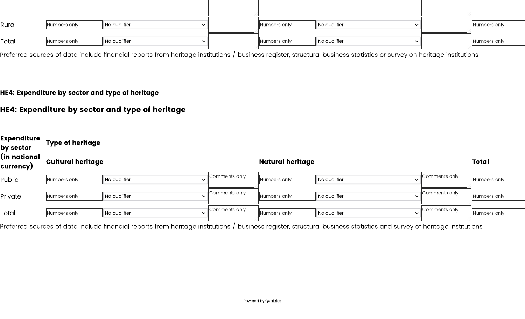| Rural | Numbers only | $\parallel$ No qualifier | Numbers only | No qualifier<br>$\overline{\phantom{a}}$ | Numbers only |
|-------|--------------|--------------------------|--------------|------------------------------------------|--------------|
| Total | Numbers only | No qualifier             | Numbers only | No qualifier<br>$\overline{\phantom{0}}$ | Numbers only |

Preferred sources of data include financial reports from heritage institutions / business register, structural business statistics or survey on heritage institutions.

## HE4: Expenditure by sector and type of heritage

# HE4: Expenditure by sector and type of heritage

| Expenditure<br>by sector  | <b>Type of heritage</b>  |              |                               |                         |                                       |               |              |  |  |  |
|---------------------------|--------------------------|--------------|-------------------------------|-------------------------|---------------------------------------|---------------|--------------|--|--|--|
| (in national<br>currency) | <b>Cultural heritage</b> |              |                               | <b>Natural heritage</b> | <b>Total</b>                          |               |              |  |  |  |
| Public                    | Numbers only             | No qualifier | Comments only<br>$\checkmark$ | Numbers only            | No qualifier                          | Comments only | Numbers only |  |  |  |
| <sup>2</sup> rivate       | Numbers only             | No qualifier | Comments only<br>$\checkmark$ | Numbers only            | Il No qualifier<br>$\checkmark$       | Comments only | Numbers only |  |  |  |
| Total                     | Numbers only             | No qualifier | Comments only<br>$\checkmark$ | Numbers only            | <sup>1</sup> No qualifier<br>$\vee$ 1 | Comments only | Numbers only |  |  |  |

Preferred sources of data include financial reports from heritage institutions / business register, structural business statistics and survey of heritage institutions